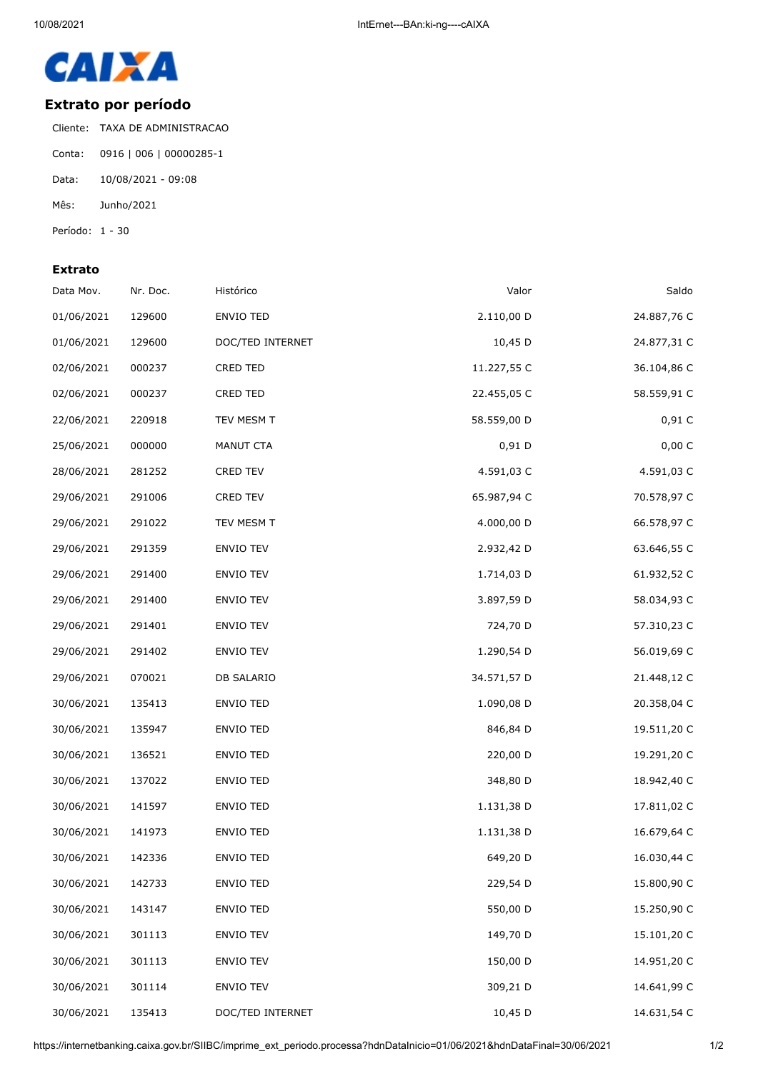

## **Extrato por período**

Cliente: TAXA DE ADMINISTRACAO Conta: 0916 | 006 | 00000285-1 Data: 10/08/2021 - 09:08 Mês: Junho/2021 Período: 1 - 30

## **Extrato**

| Data Mov.  | Nr. Doc. | Histórico        | Valor       | Saldo       |
|------------|----------|------------------|-------------|-------------|
| 01/06/2021 | 129600   | ENVIO TED        | 2.110,00 D  | 24.887,76 C |
| 01/06/2021 | 129600   | DOC/TED INTERNET | 10,45 D     | 24.877,31 C |
| 02/06/2021 | 000237   | CRED TED         | 11.227,55 C | 36.104,86 C |
| 02/06/2021 | 000237   | <b>CRED TED</b>  | 22.455,05 C | 58.559,91 C |
| 22/06/2021 | 220918   | TEV MESM T       | 58.559,00 D | 0,91C       |
| 25/06/2021 | 000000   | MANUT CTA        | $0,91$ D    | 0,00 C      |
| 28/06/2021 | 281252   | <b>CRED TEV</b>  | 4.591,03 C  | 4.591,03 C  |
| 29/06/2021 | 291006   | CRED TEV         | 65.987,94 C | 70.578,97 C |
| 29/06/2021 | 291022   | TEV MESM T       | 4.000,00 D  | 66.578,97 C |
| 29/06/2021 | 291359   | ENVIO TEV        | 2.932,42 D  | 63.646,55 C |
| 29/06/2021 | 291400   | ENVIO TEV        | 1.714,03 D  | 61.932,52 C |
| 29/06/2021 | 291400   | ENVIO TEV        | 3.897,59 D  | 58.034,93 C |
| 29/06/2021 | 291401   | ENVIO TEV        | 724,70 D    | 57.310,23 C |
| 29/06/2021 | 291402   | <b>ENVIO TEV</b> | 1.290,54 D  | 56.019,69 C |
| 29/06/2021 | 070021   | DB SALARIO       | 34.571,57 D | 21.448,12 C |
| 30/06/2021 | 135413   | <b>ENVIO TED</b> | 1.090,08 D  | 20.358,04 C |
| 30/06/2021 | 135947   | ENVIO TED        | 846,84 D    | 19.511,20 C |
| 30/06/2021 | 136521   | ENVIO TED        | 220,00 D    | 19.291,20 C |
| 30/06/2021 | 137022   | <b>ENVIO TED</b> | 348,80 D    | 18.942,40 C |
| 30/06/2021 | 141597   | ENVIO TED        | 1.131,38 D  | 17.811,02 C |
| 30/06/2021 | 141973   | <b>ENVIO TED</b> | 1.131,38 D  | 16.679,64 C |
| 30/06/2021 | 142336   | <b>ENVIO TED</b> | 649,20 D    | 16.030,44 C |
| 30/06/2021 | 142733   | ENVIO TED        | 229,54 D    | 15.800,90 C |
| 30/06/2021 | 143147   | ENVIO TED        | 550,00 D    | 15.250,90 C |
| 30/06/2021 | 301113   | ENVIO TEV        | 149,70 D    | 15.101,20 C |
| 30/06/2021 | 301113   | ENVIO TEV        | 150,00 D    | 14.951,20 C |
| 30/06/2021 | 301114   | ENVIO TEV        | 309,21 D    | 14.641,99 C |
| 30/06/2021 | 135413   | DOC/TED INTERNET | 10,45 D     | 14.631,54 C |